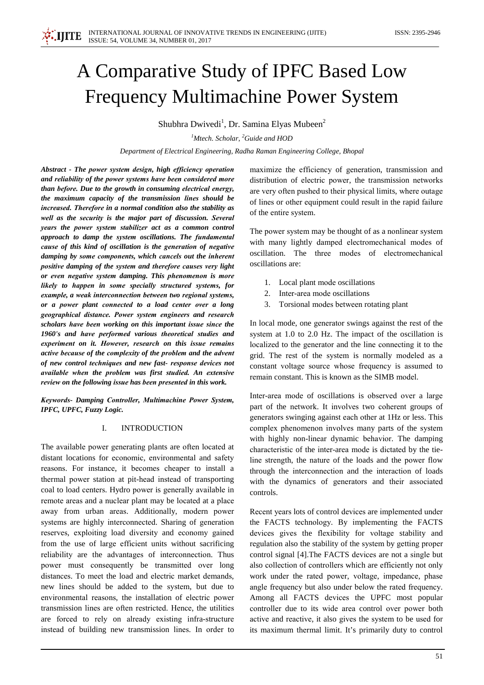# A Comparative Study of IPFC Based Low **Frequency Multimachine Power System**

Shubhra Dwivedi<sup>1</sup>, Dr. Samina Elyas Mubeen<sup>2</sup>

<sup>1</sup>Mtech. Scholar,  ${}^{2}$ Guide and HOD

Department of Electrical Engineering, Radha Raman Engineering College, Bhopal

Abstract - The power system design, high efficiency operation and reliability of the power systems have been considered more than before. Due to the growth in consuming electrical energy, the maximum capacity of the transmission lines should be increased. Therefore in a normal condition also the stability as well as the security is the major part of discussion. Several years the power system stabilizer act as a common control approach to damp the system oscillations. The fundamental cause of this kind of oscillation is the generation of negative damping by some components, which cancels out the inherent positive damping of the system and therefore causes very light or even negative system damping. This phenomenon is more likely to happen in some specially structured systems, for example, a weak interconnection between two regional systems, or a power plant connected to a load center over a long geographical distance. Power system engineers and research scholars have been working on this important issue since the 1960's and have performed various theoretical studies and experiment on it. However, research on this issue remains active because of the complexity of the problem and the advent of new control techniques and new fast- response devices not available when the problem was first studied. An extensive review on the following issue has been presented in this work.

Keywords- Damping Controller, Multimachine Power System, IPFC, UPFC, Fuzzy Logic.

## **INTRODUCTION** L.

The available power generating plants are often located at distant locations for economic, environmental and safety reasons. For instance, it becomes cheaper to install a thermal power station at pit-head instead of transporting coal to load centers. Hydro power is generally available in remote areas and a nuclear plant may be located at a place away from urban areas. Additionally, modern power systems are highly interconnected. Sharing of generation reserves, exploiting load diversity and economy gained from the use of large efficient units without sacrificing reliability are the advantages of interconnection. Thus power must consequently be transmitted over long distances. To meet the load and electric market demands, new lines should be added to the system, but due to environmental reasons, the installation of electric power transmission lines are often restricted. Hence, the utilities are forced to rely on already existing infra-structure instead of building new transmission lines. In order to maximize the efficiency of generation, transmission and distribution of electric power, the transmission networks are very often pushed to their physical limits, where outage of lines or other equipment could result in the rapid failure of the entire system.

The power system may be thought of as a nonlinear system with many lightly damped electromechanical modes of oscillation. The three modes of electromechanical oscillations are:

- 1. Local plant mode oscillations
- 2. Inter-area mode oscillations
- $\mathcal{R}$ Torsional modes between rotating plant

In local mode, one generator swings against the rest of the system at 1.0 to 2.0 Hz. The impact of the oscillation is localized to the generator and the line connecting it to the grid. The rest of the system is normally modeled as a constant voltage source whose frequency is assumed to remain constant. This is known as the SIMB model.

Inter-area mode of oscillations is observed over a large part of the network. It involves two coherent groups of generators swinging against each other at 1Hz or less. This complex phenomenon involves many parts of the system with highly non-linear dynamic behavior. The damping characteristic of the inter-area mode is dictated by the tieline strength, the nature of the loads and the power flow through the interconnection and the interaction of loads with the dynamics of generators and their associated controls.

Recent years lots of control devices are implemented under the FACTS technology. By implementing the FACTS devices gives the flexibility for voltage stability and regulation also the stability of the system by getting proper control signal [4]. The FACTS devices are not a single but also collection of controllers which are efficiently not only work under the rated power, voltage, impedance, phase angle frequency but also under below the rated frequency. Among all FACTS devices the UPFC most popular controller due to its wide area control over power both active and reactive, it also gives the system to be used for its maximum thermal limit. It's primarily duty to control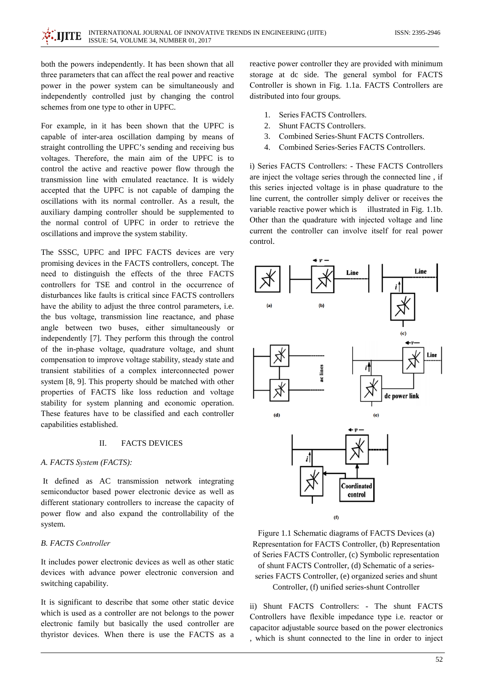both the powers independently. It has been shown that all three parameters that can affect the real power and reactive power in the power system can be simultaneously and independently controlled just by changing the control schemes from one type to other in UPFC.

For example, in it has been shown that the UPFC is capable of inter-area oscillation damping by means of straight controlling the UPFC's sending and receiving bus voltages. Therefore, the main aim of the UPFC is to control the active and reactive power flow through the transmission line with emulated reactance. It is widely accepted that the UPFC is not capable of damping the oscillations with its normal controller. As a result, the auxiliary damping controller should be supplemented to the normal control of UPFC in order to retrieve the oscillations and improve the system stability.

The SSSC, UPFC and IPFC FACTS devices are very promising devices in the FACTS controllers, concept. The need to distinguish the effects of the three FACTS controllers for TSE and control in the occurrence of disturbances like faults is critical since FACTS controllers have the ability to adjust the three control parameters, *i.e.* the bus voltage, transmission line reactance, and phase angle between two buses, either simultaneously or independently [7]. They perform this through the control of the in-phase voltage, quadrature voltage, and shunt compensation to improve voltage stability, steady state and transient stabilities of a complex interconnected power system [8, 9]. This property should be matched with other properties of FACTS like loss reduction and voltage stability for system planning and economic operation. These features have to be classified and each controller capabilities established.

#### $\Pi$ . **FACTS DEVICES**

## A. FACTS System (FACTS):

It defined as AC transmission network integrating semiconductor based power electronic device as well as different stationary controllers to increase the capacity of power flow and also expand the controllability of the system.

# **B. FACTS Controller**

It includes power electronic devices as well as other static devices with advance power electronic conversion and switching capability.

It is significant to describe that some other static device which is used as a controller are not belongs to the power electronic family but basically the used controller are thyristor devices. When there is use the FACTS as a reactive power controller they are provided with minimum storage at dc side. The general symbol for FACTS Controller is shown in Fig. 1.1a. FACTS Controllers are distributed into four groups.

- Series FACTS Controllers.  $1$
- Shunt FACTS Controllers.  $\mathcal{D}$
- Combined Series-Shunt FACTS Controllers.  $\mathcal{R}$
- Combined Series-Series FACTS Controllers.  $\overline{A}$

i) Series FACTS Controllers: - These FACTS Controllers are inject the voltage series through the connected line . if this series injected voltage is in phase quadrature to the line current, the controller simply deliver or receives the variable reactive power which is illustrated in Fig. 1.1b. Other than the quadrature with injected voltage and line current the controller can involve itself for real power control.



Figure 1.1 Schematic diagrams of FACTS Devices (a) Representation for FACTS Controller, (b) Representation of Series FACTS Controller, (c) Symbolic representation of shunt FACTS Controller, (d) Schematic of a seriesseries FACTS Controller, (e) organized series and shunt Controller, (f) unified series-shunt Controller

ii) Shunt FACTS Controllers: - The shunt FACTS Controllers have flexible impedance type i.e. reactor or capacitor adjustable source based on the power electronics , which is shunt connected to the line in order to inject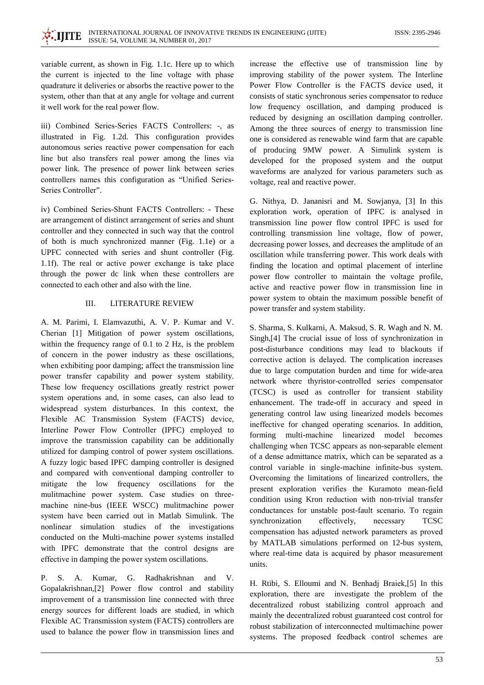variable current, as shown in Fig. 1.1c. Here up to which the current is injected to the line voltage with phase quadrature it deliveries or absorbs the reactive power to the system, other than that at any angle for voltage and current it well work for the real power flow.

iii) Combined Series-Series FACTS Controllers: -, as illustrated in Fig. 1.2d. This configuration provides autonomous series reactive power compensation for each line but also transfers real power among the lines via power link. The presence of power link between series controllers names this configuration as "Unified Series-Series Controller".

iv) Combined Series-Shunt FACTS Controllers: - These are arrangement of distinct arrangement of series and shunt controller and they connected in such way that the control of both is much synchronized manner (Fig. 1.1e) or a UPFC connected with series and shunt controller (Fig. 1.1f). The real or active power exchange is take place through the power dc link when these controllers are connected to each other and also with the line.

## **LITERATURE REVIEW**  $III$

A. M. Parimi, I. Elamvazuthi, A. V. P. Kumar and V. Cherian [1] Mitigation of power system oscillations, within the frequency range of  $0.1$  to  $2$  Hz, is the problem of concern in the power industry as these oscillations, when exhibiting poor damping; affect the transmission line power transfer capability and power system stability. These low frequency oscillations greatly restrict power system operations and, in some cases, can also lead to widespread system disturbances. In this context, the Flexible AC Transmission System (FACTS) device, Interline Power Flow Controller (IPFC) employed to improve the transmission capability can be additionally utilized for damping control of power system oscillations. A fuzzy logic based IPFC damping controller is designed and compared with conventional damping controller to mitigate the low frequency oscillations for the mulitmachine power system. Case studies on threemachine nine-bus (IEEE WSCC) mulitmachine power system have been carried out in Matlab Simulink. The nonlinear simulation studies of the investigations conducted on the Multi-machine power systems installed with IPFC demonstrate that the control designs are effective in damping the power system oscillations.

S. A. Kumar, G. Radhakrishnan and V.  $P_{\perp}$ Gopalakrishnan, [2] Power flow control and stability improvement of a transmission line connected with three energy sources for different loads are studied, in which Flexible AC Transmission system (FACTS) controllers are used to balance the power flow in transmission lines and

increase the effective use of transmission line by improving stability of the power system. The Interline Power Flow Controller is the FACTS device used, it consists of static synchronous series compensator to reduce low frequency oscillation, and damping produced is reduced by designing an oscillation damping controller. Among the three sources of energy to transmission line one is considered as renewable wind farm that are capable of producing 9MW power. A Simulink system is developed for the proposed system and the output waveforms are analyzed for various parameters such as voltage, real and reactive power.

G. Nithya, D. Jananisri and M. Sowjanya, [3] In this exploration work, operation of IPFC is analysed in transmission line power flow control IPFC is used for controlling transmission line voltage, flow of power, decreasing power losses, and decreases the amplitude of an oscillation while transferring power. This work deals with finding the location and optimal placement of interline power flow controller to maintain the voltage profile, active and reactive power flow in transmission line in power system to obtain the maximum possible benefit of power transfer and system stability.

S. Sharma, S. Kulkarni, A. Maksud, S. R. Wagh and N. M. Singh, [4] The crucial issue of loss of synchronization in post-disturbance conditions may lead to blackouts if corrective action is delayed. The complication increases due to large computation burden and time for wide-area network where thyristor-controlled series compensator (TCSC) is used as controller for transient stability enhancement. The trade-off in accuracy and speed in generating control law using linearized models becomes ineffective for changed operating scenarios. In addition, forming multi-machine linearized model becomes challenging when TCSC appears as non-separable element of a dense admittance matrix, which can be separated as a control variable in single-machine infinite-bus system. Overcoming the limitations of linearized controllers, the present exploration verifies the Kuramoto mean-field condition using Kron reduction with non-trivial transfer conductances for unstable post-fault scenario. To regain synchronization effectively, necessary **TCSC** compensation has adjusted network parameters as proved by MATLAB simulations performed on 12-bus system, where real-time data is acquired by phasor measurement units.

H. Rtibi, S. Elloumi and N. Benhadj Braiek,[5] In this exploration, there are investigate the problem of the decentralized robust stabilizing control approach and mainly the decentralized robust guaranteed cost control for robust stabilization of interconnected multimachine power systems. The proposed feedback control schemes are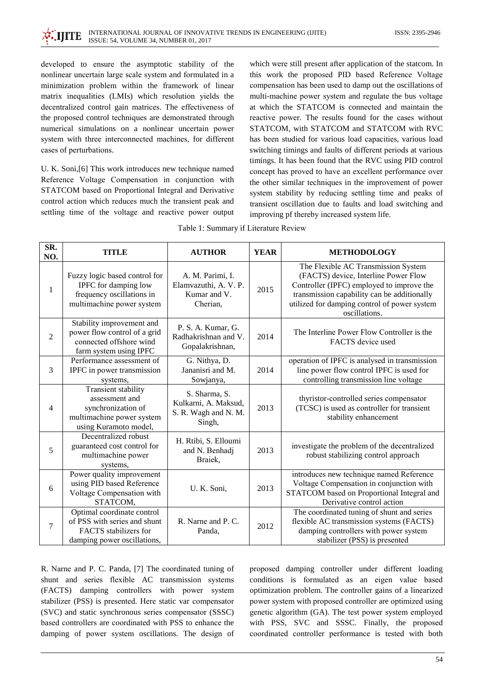developed to ensure the asymptotic stability of the nonlinear uncertain large scale system and formulated in a minimization problem within the framework of linear matrix inequalities (LMIs) which resolution yields the decentralized control gain matrices. The effectiveness of the proposed control techniques are demonstrated through numerical simulations on a nonlinear uncertain power system with three interconnected machines, for different cases of perturbations.

U. K. Soni, [6] This work introduces new technique named Reference Voltage Compensation in conjunction with STATCOM based on Proportional Integral and Derivative control action which reduces much the transient peak and settling time of the voltage and reactive power output

which were still present after application of the statcom. In this work the proposed PID based Reference Voltage compensation has been used to damp out the oscillations of multi-machine power system and regulate the bus voltage at which the STATCOM is connected and maintain the reactive power. The results found for the cases without STATCOM, with STATCOM and STATCOM with RVC has been studied for various load capacities, various load switching timings and faults of different periods at various timings. It has been found that the RVC using PID control concept has proved to have an excellent performance over the other similar techniques in the improvement of power system stability by reducing settling time and peaks of transient oscillation due to faults and load switching and improving pf thereby increased system life.

| SR.<br>NO.     | <b>TITLE</b>                                                                                                             | <b>AUTHOR</b>                                                           | <b>YEAR</b> | <b>METHODOLOGY</b>                                                                                                                                                                                                                       |
|----------------|--------------------------------------------------------------------------------------------------------------------------|-------------------------------------------------------------------------|-------------|------------------------------------------------------------------------------------------------------------------------------------------------------------------------------------------------------------------------------------------|
| 1              | Fuzzy logic based control for<br>IPFC for damping low<br>frequency oscillations in<br>multimachine power system          | A. M. Parimi, I.<br>Elamvazuthi, A. V. P.<br>Kumar and V.<br>Cherian,   | 2015        | The Flexible AC Transmission System<br>(FACTS) device, Interline Power Flow<br>Controller (IPFC) employed to improve the<br>transmission capability can be additionally<br>utilized for damping control of power system<br>oscillations. |
| $\overline{c}$ | Stability improvement and<br>power flow control of a grid<br>connected offshore wind<br>farm system using IPFC           | P. S. A. Kumar, G.<br>Radhakrishnan and V.<br>Gopalakrishnan,           | 2014        | The Interline Power Flow Controller is the<br>FACTS device used                                                                                                                                                                          |
| 3              | Performance assessment of<br>IPFC in power transmission<br>systems,                                                      | G. Nithya, D.<br>Jananisri and M.<br>Sowjanya,                          | 2014        | operation of IPFC is analysed in transmission<br>line power flow control IPFC is used for<br>controlling transmission line voltage                                                                                                       |
| 4              | <b>Transient stability</b><br>assessment and<br>synchronization of<br>multimachine power system<br>using Kuramoto model, | S. Sharma, S.<br>Kulkarni, A. Maksud,<br>S. R. Wagh and N. M.<br>Singh, | 2013        | thyristor-controlled series compensator<br>(TCSC) is used as controller for transient<br>stability enhancement                                                                                                                           |
| 5              | Decentralized robust<br>guaranteed cost control for<br>multimachine power<br>systems,                                    | H. Rtibi, S. Elloumi<br>and N. Benhadj<br>Braiek,                       | 2013        | investigate the problem of the decentralized<br>robust stabilizing control approach                                                                                                                                                      |
| 6              | Power quality improvement<br>using PID based Reference<br>Voltage Compensation with<br>STATCOM,                          | U. K. Soni,                                                             | 2013        | introduces new technique named Reference<br>Voltage Compensation in conjunction with<br>STATCOM based on Proportional Integral and<br>Derivative control action                                                                          |
| $\overline{7}$ | Optimal coordinate control<br>of PSS with series and shunt<br>FACTS stabilizers for<br>damping power oscillations,       | R. Narne and P. C.<br>Panda,                                            | 2012        | The coordinated tuning of shunt and series<br>flexible AC transmission systems (FACTS)<br>damping controllers with power system<br>stabilizer (PSS) is presented                                                                         |

Table 1: Summary if Literature Review

R. Narne and P. C. Panda, [7] The coordinated tuning of shunt and series flexible AC transmission systems (FACTS) damping controllers with power system stabilizer (PSS) is presented. Here static var compensator (SVC) and static synchronous series compensator (SSSC) based controllers are coordinated with PSS to enhance the damping of power system oscillations. The design of proposed damping controller under different loading conditions is formulated as an eigen value based optimization problem. The controller gains of a linearized power system with proposed controller are optimized using genetic algorithm (GA). The test power system employed with PSS, SVC and SSSC. Finally, the proposed coordinated controller performance is tested with both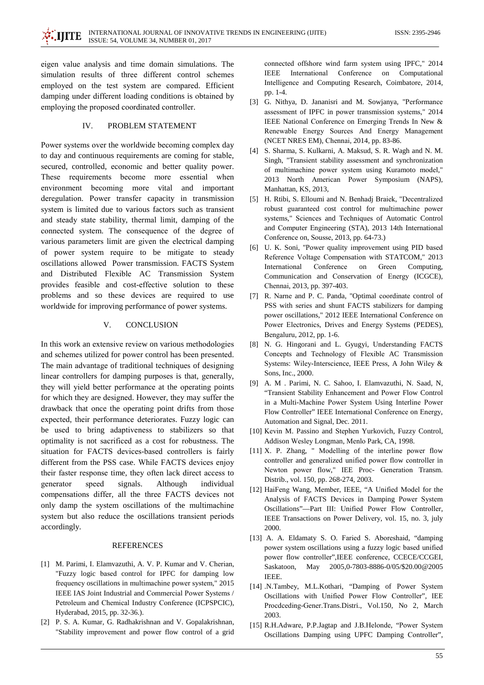eigen value analysis and time domain simulations. The simulation results of three different control schemes employed on the test system are compared. Efficient damping under different loading conditions is obtained by employing the proposed coordinated controller.

## PROBLEM STATEMENT IV.

Power systems over the worldwide becoming complex day to day and continuous requirements are coming for stable, secured, controlled, economic and better quality power. These requirements become more essential when environment becoming more vital and important deregulation. Power transfer capacity in transmission system is limited due to various factors such as transient and steady state stability, thermal limit, damping of the connected system. The consequence of the degree of various parameters limit are given the electrical damping of power system require to be mitigate to steady oscillations allowed Power transmission. FACTS System and Distributed Flexible AC Transmission System provides feasible and cost-effective solution to these problems and so these devices are required to use worldwide for improving performance of power systems.

## $V_{\cdot}$ **CONCLUSION**

In this work an extensive review on various methodologies and schemes utilized for power control has been presented. The main advantage of traditional techniques of designing linear controllers for damping purposes is that, generally, they will yield better performance at the operating points for which they are designed. However, they may suffer the drawback that once the operating point drifts from those expected, their performance deteriorates. Fuzzy logic can be used to bring adaptiveness to stabilizers so that optimality is not sacrificed as a cost for robustness. The situation for FACTS devices-based controllers is fairly different from the PSS case. While FACTS devices enjoy their faster response time, they often lack direct access to generator speed signals. Although individual compensations differ, all the three FACTS devices not only damp the system oscillations of the multimachine system but also reduce the oscillations transient periods accordingly.

## **REFERENCES**

- [1] M. Parimi, I. Elamvazuthi, A. V. P. Kumar and V. Cherian, "Fuzzy logic based control for IPFC for damping low frequency oscillations in multimachine power system," 2015 IEEE IAS Joint Industrial and Commercial Power Systems / Petroleum and Chemical Industry Conference (ICPSPCIC). Hyderabad, 2015, pp. 32-36.).
- [2] P. S. A. Kumar, G. Radhakrishnan and V. Gopalakrishnan, "Stability improvement and power flow control of a grid

connected offshore wind farm system using IPFC," 2014 **IEEE** International Conference on Computational Intelligence and Computing Research, Coimbatore, 2014, pp. 1-4.

- [3] G. Nithya, D. Jananisri and M. Sowjanya, "Performance assessment of IPFC in power transmission systems," 2014 IEEE National Conference on Emerging Trends In New & Renewable Energy Sources And Energy Management (NCET NRES EM), Chennai, 2014, pp. 83-86.
- [4] S. Sharma, S. Kulkarni, A. Maksud, S. R. Wagh and N. M. Singh, "Transient stability assessment and synchronization of multimachine power system using Kuramoto model," 2013 North American Power Symposium (NAPS), Manhattan, KS, 2013,
- [5] H. Rtibi, S. Elloumi and N. Benhadj Braiek, "Decentralized robust guaranteed cost control for multimachine power systems," Sciences and Techniques of Automatic Control and Computer Engineering (STA), 2013 14th International Conference on, Sousse, 2013, pp. 64-73.)
- [6] U. K. Soni, "Power quality improvement using PID based Reference Voltage Compensation with STATCOM," 2013 International Conference on Green Computing, Communication and Conservation of Energy (ICGCE), Chennai, 2013, pp. 397-403.
- [7] R. Narne and P. C. Panda, "Optimal coordinate control of PSS with series and shunt FACTS stabilizers for damping power oscillations," 2012 IEEE International Conference on Power Electronics, Drives and Energy Systems (PEDES), Bengaluru, 2012, pp. 1-6.
- [8] N. G. Hingorani and L. Gyugyi, Understanding FACTS Concepts and Technology of Flexible AC Transmission Systems: Wiley-Interscience, IEEE Press, A John Wiley & Sons, Inc., 2000.
- [9] A. M. Parimi, N. C. Sahoo, I. Elamvazuthi, N. Saad, N. "Transient Stability Enhancement and Power Flow Control in a Multi-Machine Power System Using Interline Power Flow Controller" IEEE International Conference on Energy, Automation and Signal, Dec. 2011.
- [10] Kevin M. Passino and Stephen Yurkovich, Fuzzy Control, Addison Wesley Longman, Menlo Park, CA, 1998.
- [11] X. P. Zhang, " Modelling of the interline power flow controller and generalized unified power flow controller in Newton power flow," IEE Proc- Generation Transm. Distrib., vol. 150, pp. 268-274, 2003.
- [12] HaiFeng Wang, Member, IEEE, "A Unified Model for the Analysis of FACTS Devices in Damping Power System Oscillations"-Part III: Unified Power Flow Controller, IEEE Transactions on Power Delivery, vol. 15, no. 3, july 2000.
- [13] A. A. Eldamaty S. O. Faried S. Aboreshaid, "damping power system oscillations using a fuzzy logic based unified power flow controller".IEEE conference, CCECE/CCGEI, Saskatoon. May 2005.0-7803-8886-0/05/\$20.00@2005 IEEE.
- [14] N.Tambey, M.L.Kothari, "Damping of Power System Oscillations with Unified Power Flow Controller", IEE Procdceding-Gener.Trans.Distri., Vol.150, No 2, March 2003.
- [15] R.H.Adware, P.P.Jagtap and J.B.Helonde, "Power System Oscillations Damping using UPFC Damping Controller",